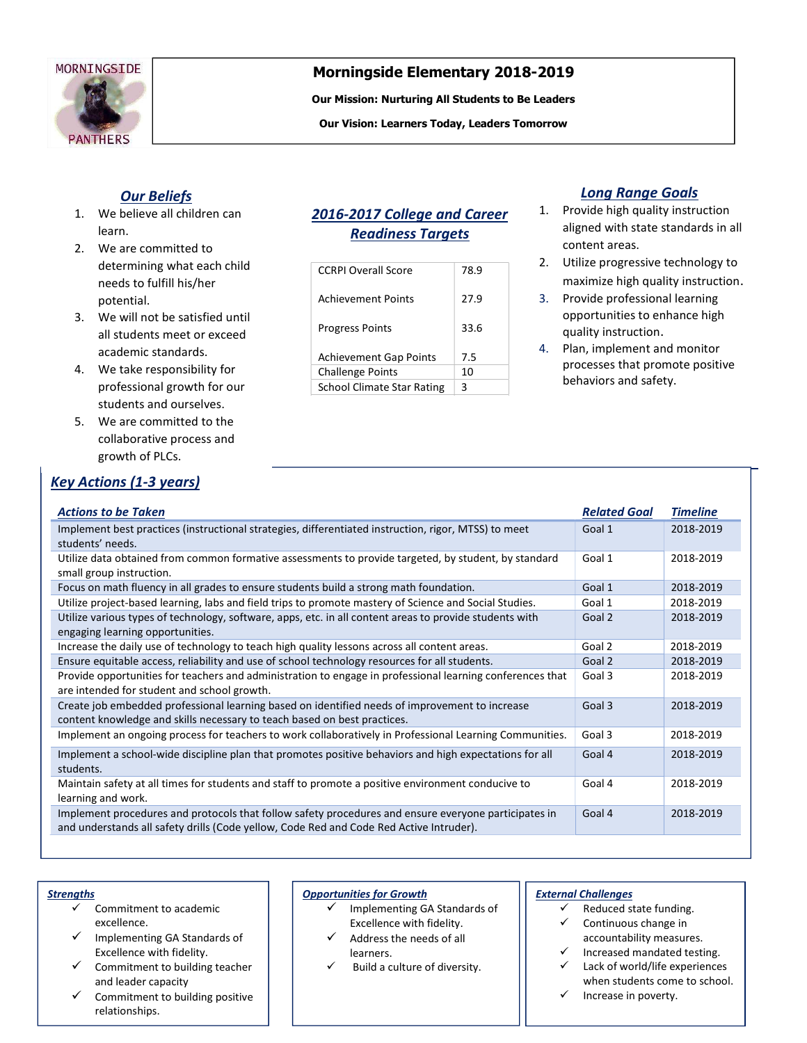

# Morningside Elementary 2018-2019

Our Mission: Nurturing All Students to Be Leaders

Our Vision: Learners Today, Leaders Tomorrow

## Our Beliefs

- 1. We believe all children can learn.
- 2. We are committed to determining what each child needs to fulfill his/her potential.
- 3. We will not be satisfied until all students meet or exceed academic standards.
- 4. We take responsibility for professional growth for our students and ourselves.
- 5. We are committed to the collaborative process and growth of PLCs.

# Key Actions (1-3 years)

# 2016-2017 College and Career Readiness Targets

| <b>CCRPI Overall Score</b>        | 78.9 |
|-----------------------------------|------|
| <b>Achievement Points</b>         | 27.9 |
| <b>Progress Points</b>            | 33.6 |
| <b>Achievement Gap Points</b>     | 7.5  |
| <b>Challenge Points</b>           | 10   |
| <b>School Climate Star Rating</b> | ς    |

## Long Range Goals

- 1. Provide high quality instruction aligned with state standards in all content areas.
- 2. Utilize progressive technology to maximize high quality instruction.
- 3. Provide professional learning opportunities to enhance high quality instruction.
- 4. Plan, implement and monitor processes that promote positive behaviors and safety.

| <b>Actions to be Taken</b>                                                                                | <b>Related Goal</b> | <b>Timeline</b> |
|-----------------------------------------------------------------------------------------------------------|---------------------|-----------------|
| Implement best practices (instructional strategies, differentiated instruction, rigor, MTSS) to meet      | Goal 1              | 2018-2019       |
| students' needs.                                                                                          |                     |                 |
| Utilize data obtained from common formative assessments to provide targeted, by student, by standard      | Goal 1              | 2018-2019       |
| small group instruction.                                                                                  |                     |                 |
| Focus on math fluency in all grades to ensure students build a strong math foundation.                    | Goal 1              | 2018-2019       |
| Utilize project-based learning, labs and field trips to promote mastery of Science and Social Studies.    | Goal 1              | 2018-2019       |
| Utilize various types of technology, software, apps, etc. in all content areas to provide students with   | Goal 2              | 2018-2019       |
| engaging learning opportunities.                                                                          |                     |                 |
| Increase the daily use of technology to teach high quality lessons across all content areas.              | Goal 2              | 2018-2019       |
| Ensure equitable access, reliability and use of school technology resources for all students.             | Goal 2              | 2018-2019       |
| Provide opportunities for teachers and administration to engage in professional learning conferences that | Goal 3              | 2018-2019       |
| are intended for student and school growth.                                                               |                     |                 |
| Create job embedded professional learning based on identified needs of improvement to increase            | Goal 3              | 2018-2019       |
| content knowledge and skills necessary to teach based on best practices.                                  |                     |                 |
| Implement an ongoing process for teachers to work collaboratively in Professional Learning Communities.   | Goal 3              | 2018-2019       |
| Implement a school-wide discipline plan that promotes positive behaviors and high expectations for all    | Goal 4              | 2018-2019       |
| students.                                                                                                 |                     |                 |
| Maintain safety at all times for students and staff to promote a positive environment conducive to        | Goal 4              | 2018-2019       |
| learning and work.                                                                                        |                     |                 |
| Implement procedures and protocols that follow safety procedures and ensure everyone participates in      | Goal 4              | 2018-2019       |
| and understands all safety drills (Code yellow, Code Red and Code Red Active Intruder).                   |                     |                 |
|                                                                                                           |                     |                 |

#### **Strengths**

- Commitment to academic excellence.
- Implementing GA Standards of Excellence with fidelity.
- Commitment to building teacher and leader capacity
- Commitment to building positive relationships.

#### Opportunities for Growth

- $\checkmark$  Implementing GA Standards of Excellence with fidelity.
- Address the needs of all learners.
- Build a culture of diversity.

#### External Challenges

- Reduced state funding.
- Continuous change in accountability measures.
- Increased mandated testing. Lack of world/life experiences
- when students come to school.  $\checkmark$  Increase in poverty.